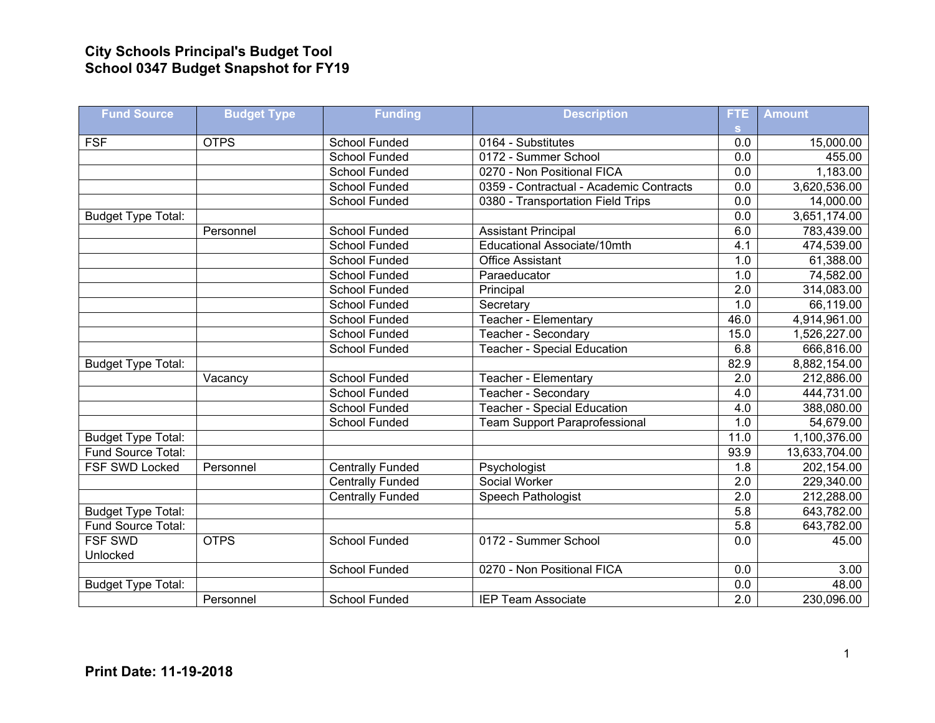## **City Schools Principal's Budget Tool School 0347 Budget Snapshot for FY19**

| <b>Fund Source</b>        | <b>Budget Type</b> | <b>Funding</b>          | <b>Description</b>                      | FTE.             | <b>Amount</b> |
|---------------------------|--------------------|-------------------------|-----------------------------------------|------------------|---------------|
|                           |                    |                         |                                         | s.               |               |
| <b>FSF</b>                | <b>OTPS</b>        | School Funded           | 0164 - Substitutes                      | 0.0              | 15,000.00     |
|                           |                    | <b>School Funded</b>    | 0172 - Summer School                    | 0.0              | 455.00        |
|                           |                    | <b>School Funded</b>    | 0270 - Non Positional FICA              | 0.0              | 1,183.00      |
|                           |                    | <b>School Funded</b>    | 0359 - Contractual - Academic Contracts | $\overline{0.0}$ | 3,620,536.00  |
|                           |                    | School Funded           | 0380 - Transportation Field Trips       | 0.0              | 14,000.00     |
| <b>Budget Type Total:</b> |                    |                         |                                         | 0.0              | 3,651,174.00  |
|                           | Personnel          | <b>School Funded</b>    | <b>Assistant Principal</b>              | 6.0              | 783,439.00    |
|                           |                    | School Funded           | Educational Associate/10mth             | 4.1              | 474,539.00    |
|                           |                    | <b>School Funded</b>    | <b>Office Assistant</b>                 | 1.0              | 61,388.00     |
|                           |                    | School Funded           | Paraeducator                            | 1.0              | 74,582.00     |
|                           |                    | School Funded           | Principal                               | $\overline{2.0}$ | 314,083.00    |
|                           |                    | School Funded           | Secretary                               | 1.0              | 66,119.00     |
|                           |                    | School Funded           | Teacher - Elementary                    | 46.0             | 4,914,961.00  |
|                           |                    | <b>School Funded</b>    | Teacher - Secondary                     | 15.0             | 1,526,227.00  |
|                           |                    | <b>School Funded</b>    | <b>Teacher - Special Education</b>      | 6.8              | 666,816.00    |
| <b>Budget Type Total:</b> |                    |                         |                                         | 82.9             | 8,882,154.00  |
|                           | Vacancy            | <b>School Funded</b>    | Teacher - Elementary                    | $\overline{2.0}$ | 212,886.00    |
|                           |                    | <b>School Funded</b>    | Teacher - Secondary                     | 4.0              | 444,731.00    |
|                           |                    | <b>School Funded</b>    | <b>Teacher - Special Education</b>      | 4.0              | 388,080.00    |
|                           |                    | School Funded           | <b>Team Support Paraprofessional</b>    | $\overline{1.0}$ | 54,679.00     |
| Budget Type Total:        |                    |                         |                                         | 11.0             | 1,100,376.00  |
| Fund Source Total:        |                    |                         |                                         | 93.9             | 13,633,704.00 |
| <b>FSF SWD Locked</b>     | Personnel          | <b>Centrally Funded</b> | Psychologist                            | 1.8              | 202,154.00    |
|                           |                    | <b>Centrally Funded</b> | Social Worker                           | $\overline{2.0}$ | 229,340.00    |
|                           |                    | <b>Centrally Funded</b> | Speech Pathologist                      | $\overline{2.0}$ | 212,288.00    |
| <b>Budget Type Total:</b> |                    |                         |                                         | 5.8              | 643,782.00    |
| Fund Source Total:        |                    |                         |                                         | 5.8              | 643,782.00    |
| <b>FSF SWD</b>            | <b>OTPS</b>        | <b>School Funded</b>    | 0172 - Summer School                    | 0.0              | 45.00         |
| Unlocked                  |                    |                         |                                         |                  |               |
|                           |                    | <b>School Funded</b>    | 0270 - Non Positional FICA              | 0.0              | 3.00          |
| <b>Budget Type Total:</b> |                    |                         |                                         | 0.0              | 48.00         |
|                           | Personnel          | <b>School Funded</b>    | <b>IEP Team Associate</b>               | $\overline{2.0}$ | 230,096.00    |